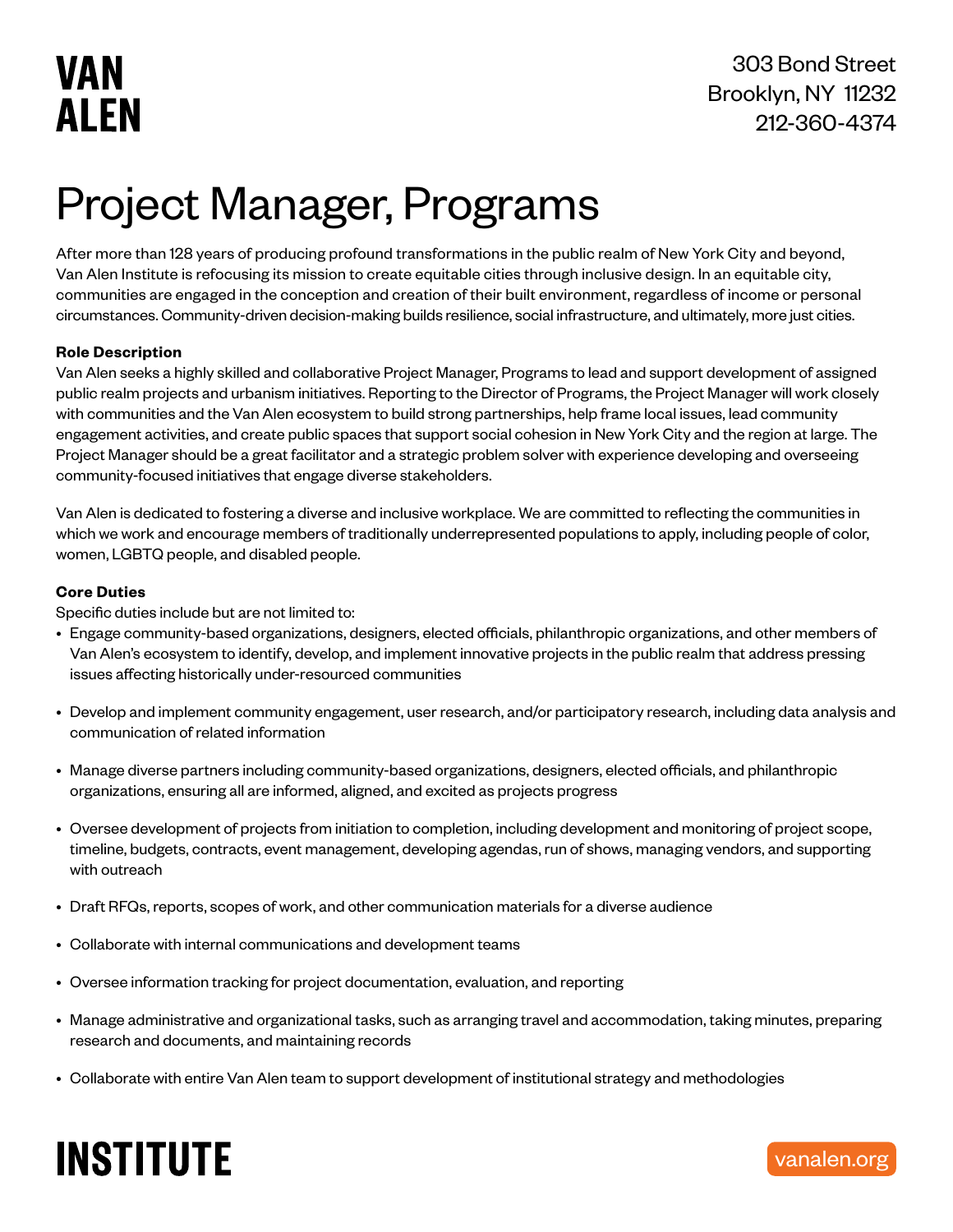# Project Manager, Programs

After more than 128 years of producing profound transformations in the public realm of New York City and beyond, Van Alen Institute is refocusing its mission to create equitable cities through inclusive design. In an equitable city, communities are engaged in the conception and creation of their built environment, regardless of income or personal circumstances. Community-driven decision-making builds resilience, social infrastructure, and ultimately, more just cities.

### **Role Description**

Van Alen seeks a highly skilled and collaborative Project Manager, Programs to lead and support development of assigned public realm projects and urbanism initiatives. Reporting to the Director of Programs, the Project Manager will work closely with communities and the Van Alen ecosystem to build strong partnerships, help frame local issues, lead community engagement activities, and create public spaces that support social cohesion in New York City and the region at large. The Project Manager should be a great facilitator and a strategic problem solver with experience developing and overseeing community-focused initiatives that engage diverse stakeholders.

Van Alen is dedicated to fostering a diverse and inclusive workplace. We are committed to reflecting the communities in which we work and encourage members of traditionally underrepresented populations to apply, including people of color, women, LGBTQ people, and disabled people.

### **Core Duties**

Specific duties include but are not limited to:

- Engage community-based organizations, designers, elected officials, philanthropic organizations, and other members of Van Alen's ecosystem to identify, develop, and implement innovative projects in the public realm that address pressing issues affecting historically under-resourced communities
- Develop and implement community engagement, user research, and/or participatory research, including data analysis and communication of related information
- Manage diverse partners including community-based organizations, designers, elected officials, and philanthropic organizations, ensuring all are informed, aligned, and excited as projects progress
- Oversee development of projects from initiation to completion, including development and monitoring of project scope, timeline, budgets, contracts, event management, developing agendas, run of shows, managing vendors, and supporting with outreach
- Draft RFQs, reports, scopes of work, and other communication materials for a diverse audience
- Collaborate with internal communications and development teams
- Oversee information tracking for project documentation, evaluation, and reporting
- Manage administrative and organizational tasks, such as arranging travel and accommodation, taking minutes, preparing research and documents, and maintaining records
- Collaborate with entire Van Alen team to support development of institutional strategy and methodologies

# **INSTITUTE**